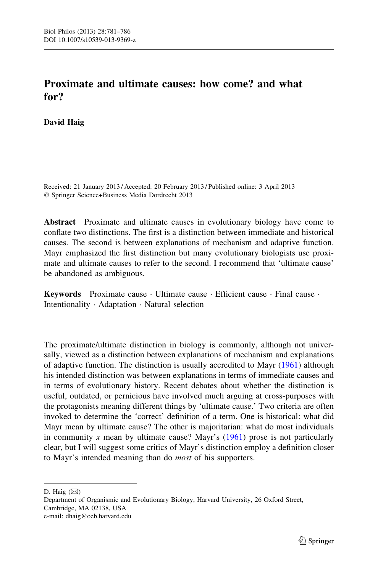## Proximate and ultimate causes: how come? and what for?

David Haig

Received: 21 January 2013 / Accepted: 20 February 2013 / Published online: 3 April 2013 - Springer Science+Business Media Dordrecht 2013

Abstract Proximate and ultimate causes in evolutionary biology have come to conflate two distinctions. The first is a distinction between immediate and historical causes. The second is between explanations of mechanism and adaptive function. Mayr emphasized the first distinction but many evolutionary biologists use proximate and ultimate causes to refer to the second. I recommend that 'ultimate cause' be abandoned as ambiguous.

Keywords Proximate cause · Ultimate cause · Efficient cause · Final cause · Intentionality - Adaptation - Natural selection

The proximate/ultimate distinction in biology is commonly, although not universally, viewed as a distinction between explanations of mechanism and explanations of adaptive function. The distinction is usually accredited to Mayr ([1961\)](#page-5-0) although his intended distinction was between explanations in terms of immediate causes and in terms of evolutionary history. Recent debates about whether the distinction is useful, outdated, or pernicious have involved much arguing at cross-purposes with the protagonists meaning different things by 'ultimate cause.' Two criteria are often invoked to determine the 'correct' definition of a term. One is historical: what did Mayr mean by ultimate cause? The other is majoritarian: what do most individuals in community x mean by ultimate cause? Mayr's  $(1961)$  $(1961)$  prose is not particularly clear, but I will suggest some critics of Mayr's distinction employ a definition closer to Mayr's intended meaning than do most of his supporters.

D. Haig  $(\boxtimes)$ 

Department of Organismic and Evolutionary Biology, Harvard University, 26 Oxford Street, Cambridge, MA 02138, USA e-mail: dhaig@oeb.harvard.edu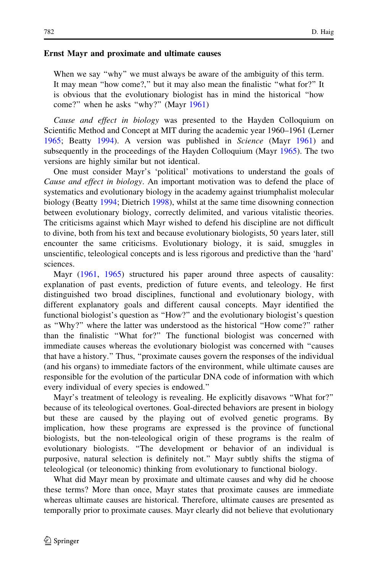## Ernst Mayr and proximate and ultimate causes

When we say "why" we must always be aware of the ambiguity of this term. It may mean "how come?," but it may also mean the finalistic "what for?" It is obvious that the evolutionary biologist has in mind the historical ''how come?'' when he asks ''why?'' (Mayr [1961\)](#page-5-0)

Cause and effect in biology was presented to the Hayden Colloquium on Scientific Method and Concept at MIT during the academic year 1960–1961 (Lerner [1965;](#page-5-0) Beatty [1994\)](#page-4-0). A version was published in Science (Mayr [1961](#page-5-0)) and subsequently in the proceedings of the Hayden Colloquium (Mayr [1965](#page-5-0)). The two versions are highly similar but not identical.

One must consider Mayr's 'political' motivations to understand the goals of Cause and effect in biology. An important motivation was to defend the place of systematics and evolutionary biology in the academy against triumphalist molecular biology (Beatty [1994](#page-4-0); Dietrich [1998\)](#page-4-0), whilst at the same time disowning connection between evolutionary biology, correctly delimited, and various vitalistic theories. The criticisms against which Mayr wished to defend his discipline are not difficult to divine, both from his text and because evolutionary biologists, 50 years later, still encounter the same criticisms. Evolutionary biology, it is said, smuggles in unscientific, teleological concepts and is less rigorous and predictive than the 'hard' sciences.

Mayr [\(1961](#page-5-0), [1965](#page-5-0)) structured his paper around three aspects of causality: explanation of past events, prediction of future events, and teleology. He first distinguished two broad disciplines, functional and evolutionary biology, with different explanatory goals and different causal concepts. Mayr identified the functional biologist's question as ''How?'' and the evolutionary biologist's question as ''Why?'' where the latter was understood as the historical ''How come?'' rather than the finalistic ''What for?'' The functional biologist was concerned with immediate causes whereas the evolutionary biologist was concerned with ''causes that have a history.'' Thus, ''proximate causes govern the responses of the individual (and his organs) to immediate factors of the environment, while ultimate causes are responsible for the evolution of the particular DNA code of information with which every individual of every species is endowed.''

Mayr's treatment of teleology is revealing. He explicitly disavows ''What for?'' because of its teleological overtones. Goal-directed behaviors are present in biology but these are caused by the playing out of evolved genetic programs. By implication, how these programs are expressed is the province of functional biologists, but the non-teleological origin of these programs is the realm of evolutionary biologists. ''The development or behavior of an individual is purposive, natural selection is definitely not.'' Mayr subtly shifts the stigma of teleological (or teleonomic) thinking from evolutionary to functional biology.

What did Mayr mean by proximate and ultimate causes and why did he choose these terms? More than once, Mayr states that proximate causes are immediate whereas ultimate causes are historical. Therefore, ultimate causes are presented as temporally prior to proximate causes. Mayr clearly did not believe that evolutionary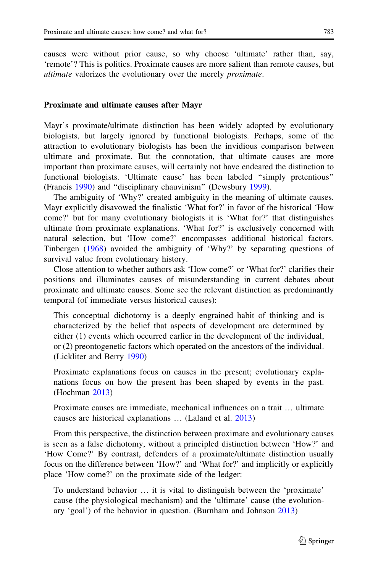causes were without prior cause, so why choose 'ultimate' rather than, say, 'remote'? This is politics. Proximate causes are more salient than remote causes, but ultimate valorizes the evolutionary over the merely *proximate*.

## Proximate and ultimate causes after Mayr

Mayr's proximate/ultimate distinction has been widely adopted by evolutionary biologists, but largely ignored by functional biologists. Perhaps, some of the attraction to evolutionary biologists has been the invidious comparison between ultimate and proximate. But the connotation, that ultimate causes are more important than proximate causes, will certainly not have endeared the distinction to functional biologists. 'Ultimate cause' has been labeled ''simply pretentious'' (Francis [1990](#page-4-0)) and ''disciplinary chauvinism'' (Dewsbury [1999](#page-4-0)).

The ambiguity of 'Why?' created ambiguity in the meaning of ultimate causes. Mayr explicitly disavowed the finalistic 'What for?' in favor of the historical 'How come?' but for many evolutionary biologists it is 'What for?' that distinguishes ultimate from proximate explanations. 'What for?' is exclusively concerned with natural selection, but 'How come?' encompasses additional historical factors. Tinbergen [\(1968](#page-5-0)) avoided the ambiguity of 'Why?' by separating questions of survival value from evolutionary history.

Close attention to whether authors ask 'How come?' or 'What for?' clarifies their positions and illuminates causes of misunderstanding in current debates about proximate and ultimate causes. Some see the relevant distinction as predominantly temporal (of immediate versus historical causes):

This conceptual dichotomy is a deeply engrained habit of thinking and is characterized by the belief that aspects of development are determined by either (1) events which occurred earlier in the development of the individual, or (2) preontogenetic factors which operated on the ancestors of the individual. (Lickliter and Berry [1990](#page-5-0))

Proximate explanations focus on causes in the present; evolutionary explanations focus on how the present has been shaped by events in the past. (Hochman [2013\)](#page-5-0)

Proximate causes are immediate, mechanical influences on a trait … ultimate causes are historical explanations … (Laland et al. [2013](#page-5-0))

From this perspective, the distinction between proximate and evolutionary causes is seen as a false dichotomy, without a principled distinction between 'How?' and 'How Come?' By contrast, defenders of a proximate/ultimate distinction usually focus on the difference between 'How?' and 'What for?' and implicitly or explicitly place 'How come?' on the proximate side of the ledger:

To understand behavior … it is vital to distinguish between the 'proximate' cause (the physiological mechanism) and the 'ultimate' cause (the evolutionary 'goal') of the behavior in question. (Burnham and Johnson [2013](#page-4-0))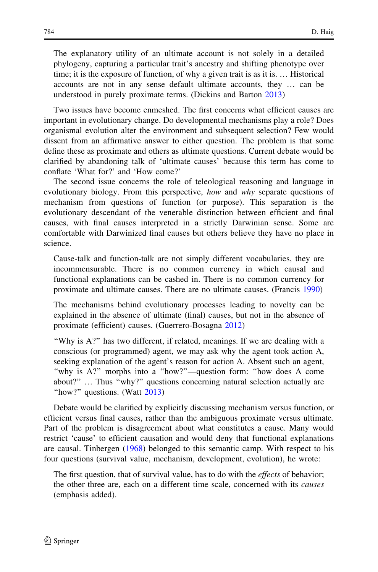The explanatory utility of an ultimate account is not solely in a detailed phylogeny, capturing a particular trait's ancestry and shifting phenotype over time; it is the exposure of function, of why a given trait is as it is. … Historical accounts are not in any sense default ultimate accounts, they … can be understood in purely proximate terms. (Dickins and Barton [2013](#page-4-0))

Two issues have become enmeshed. The first concerns what efficient causes are important in evolutionary change. Do developmental mechanisms play a role? Does organismal evolution alter the environment and subsequent selection? Few would dissent from an affirmative answer to either question. The problem is that some define these as proximate and others as ultimate questions. Current debate would be clarified by abandoning talk of 'ultimate causes' because this term has come to conflate 'What for?' and 'How come?'

The second issue concerns the role of teleological reasoning and language in evolutionary biology. From this perspective, how and why separate questions of mechanism from questions of function (or purpose). This separation is the evolutionary descendant of the venerable distinction between efficient and final causes, with final causes interpreted in a strictly Darwinian sense. Some are comfortable with Darwinized final causes but others believe they have no place in science.

Cause-talk and function-talk are not simply different vocabularies, they are incommensurable. There is no common currency in which causal and functional explanations can be cashed in. There is no common currency for proximate and ultimate causes. There are no ultimate causes. (Francis [1990](#page-4-0))

The mechanisms behind evolutionary processes leading to novelty can be explained in the absence of ultimate (final) causes, but not in the absence of proximate (efficient) causes. (Guerrero-Bosagna [2012\)](#page-4-0)

''Why is A?'' has two different, if related, meanings. If we are dealing with a conscious (or programmed) agent, we may ask why the agent took action A, seeking explanation of the agent's reason for action A. Absent such an agent, ''why is A?'' morphs into a ''how?''—question form: ''how does A come about?'' … Thus ''why?'' questions concerning natural selection actually are "how?" questions. (Watt [2013](#page-5-0))

Debate would be clarified by explicitly discussing mechanism versus function, or efficient versus final causes, rather than the ambiguous proximate versus ultimate. Part of the problem is disagreement about what constitutes a cause. Many would restrict 'cause' to efficient causation and would deny that functional explanations are causal. Tinbergen [\(1968](#page-5-0)) belonged to this semantic camp. With respect to his four questions (survival value, mechanism, development, evolution), he wrote:

The first question, that of survival value, has to do with the *effects* of behavior; the other three are, each on a different time scale, concerned with its causes (emphasis added).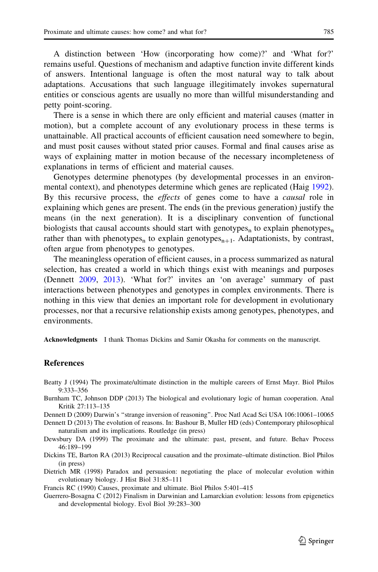<span id="page-4-0"></span>A distinction between 'How (incorporating how come)?' and 'What for?' remains useful. Questions of mechanism and adaptive function invite different kinds of answers. Intentional language is often the most natural way to talk about adaptations. Accusations that such language illegitimately invokes supernatural entities or conscious agents are usually no more than willful misunderstanding and petty point-scoring.

There is a sense in which there are only efficient and material causes (matter in motion), but a complete account of any evolutionary process in these terms is unattainable. All practical accounts of efficient causation need somewhere to begin, and must posit causes without stated prior causes. Formal and final causes arise as ways of explaining matter in motion because of the necessary incompleteness of explanations in terms of efficient and material causes.

Genotypes determine phenotypes (by developmental processes in an environmental context), and phenotypes determine which genes are replicated (Haig [1992\)](#page-5-0). By this recursive process, the *effects* of genes come to have a *causal* role in explaining which genes are present. The ends (in the previous generation) justify the means (in the next generation). It is a disciplinary convention of functional biologists that causal accounts should start with genotypes<sub>n</sub> to explain phenotypes<sub>n</sub> rather than with phenotypes<sub>n</sub> to explain genotypes<sub>n+1</sub>. Adaptationists, by contrast, often argue from phenotypes to genotypes.

The meaningless operation of efficient causes, in a process summarized as natural selection, has created a world in which things exist with meanings and purposes (Dennett 2009, 2013). 'What for?' invites an 'on average' summary of past interactions between phenotypes and genotypes in complex environments. There is nothing in this view that denies an important role for development in evolutionary processes, nor that a recursive relationship exists among genotypes, phenotypes, and environments.

Acknowledgments I thank Thomas Dickins and Samir Okasha for comments on the manuscript.

## References

- Beatty J (1994) The proximate/ultimate distinction in the multiple careers of Ernst Mayr. Biol Philos 9:333–356
- Burnham TC, Johnson DDP (2013) The biological and evolutionary logic of human cooperation. Anal Kritik 27:113–135
- Dennett D (2009) Darwin's ''strange inversion of reasoning''. Proc Natl Acad Sci USA 106:10061–10065

Dennett D (2013) The evolution of reasons. In: Bashour B, Muller HD (eds) Contemporary philosophical naturalism and its implications. Routledge (in press)

Dewsbury DA (1999) The proximate and the ultimate: past, present, and future. Behav Process 46:189–199

Dickins TE, Barton RA (2013) Reciprocal causation and the proximate–ultimate distinction. Biol Philos (in press)

Dietrich MR (1998) Paradox and persuasion: negotiating the place of molecular evolution within evolutionary biology. J Hist Biol 31:85–111

Francis RC (1990) Causes, proximate and ultimate. Biol Philos 5:401–415

Guerrero-Bosagna C (2012) Finalism in Darwinian and Lamarckian evolution: lessons from epigenetics and developmental biology. Evol Biol 39:283–300